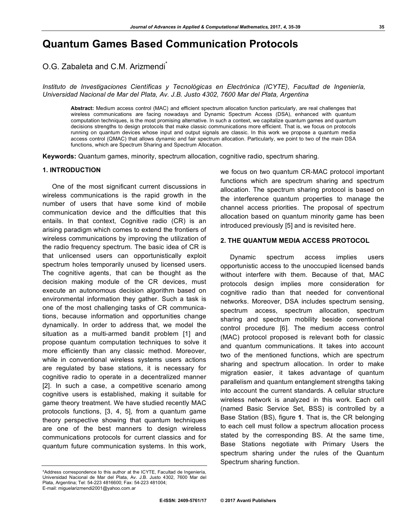# **Quantum Games Based Communication Protocols**

O.G. Zabaleta and C.M. Arizmendi<sup>\*</sup>

*Instituto de Investigaciones Científicas y Tecnológicas en Electrónica (ICYTE), Facultad de Ingeniería, Universidad Nacional de Mar del Plata, Av. J.B. Justo 4302, 7600 Mar del Plata, Argentina*

**Abstract:** Medium access control (MAC) and efficient spectrum allocation function particularly, are real challenges that wireless communications are facing nowadays and Dynamic Spectrum Access (DSA), enhanced with quantum computation techniques, is the most promising alternative. In such a context, we capitalize quantum games and quantum decisions strengths to design protocols that make classic communications more efficient. That is, we focus on protocols running on quantum devices whose input and output signals are classic. In this work we propose a quantum media access control (QMAC) that allows dynamic and fair spectrum allocation. Particularly, we point to two of the main DSA functions, which are Spectrum Sharing and Spectrum Allocation.

**Keywords:** Quantum games, minority, spectrum allocation, cognitive radio, spectrum sharing.

#### **1. INTRODUCTION**

One of the most significant current discussions in wireless communications is the rapid growth in the number of users that have some kind of mobile communication device and the difficulties that this entails. In that context, Cognitive radio (CR) is an arising paradigm which comes to extend the frontiers of wireless communications by improving the utilization of the radio frequency spectrum. The basic idea of CR is that unlicensed users can opportunistically exploit spectrum holes temporarily unused by licensed users. The cognitive agents, that can be thought as the decision making module of the CR devices, must execute an autonomous decision algorithm based on environmental information they gather. Such a task is one of the most challenging tasks of CR communications, because information and opportunities change dynamically. In order to address that, we model the situation as a multi-armed bandit problem [1] and propose quantum computation techniques to solve it more efficiently than any classic method. Moreover, while in conventional wireless systems users actions are regulated by base stations, it is necessary for cognitive radio to operate in a decentralized manner [2]. In such a case, a competitive scenario among cognitive users is established, making it suitable for game theory treatment. We have studied recently MAC protocols functions, [3, 4, 5], from a quantum game theory perspective showing that quantum techniques are one of the best manners to design wireless communications protocols for current classics and for quantum future communication systems. In this work,

\*Address correspondence to this author at the ICYTE, Facultad de Ingeniería, Universidad Nacional de Mar del Plata, Av. J.B. Justo 4302, 7600 Mar del Plata, Argentina; Tel: 54-223 4816600; Fax: 54-223 481004; E-mail: miguelarizmendi2001@yahoo.com.ar

we focus on two quantum CR-MAC protocol important functions which are spectrum sharing and spectrum allocation. The spectrum sharing protocol is based on the interference quantum properties to manage the channel access priorities. The proposal of spectrum allocation based on quantum minority game has been introduced previously [5] and is revisited here.

## **2. THE QUANTUM MEDIA ACCESS PROTOCOL**

Dynamic spectrum access implies users opportunistic access to the unoccupied licensed bands without interfere with them. Because of that, MAC protocols design implies more consideration for cognitive radio than that needed for conventional networks. Moreover, DSA includes spectrum sensing, spectrum access, spectrum allocation, spectrum sharing and spectrum mobility beside conventional control procedure [6]. The medium access control (MAC) protocol proposed is relevant both for classic and quantum communications. It takes into account two of the mentioned functions, which are spectrum sharing and spectrum allocation. In order to make migration easier, it takes advantage of quantum parallelism and quantum entanglement strengths taking into account the current standards. A cellular structure wireless network is analyzed in this work. Each cell (named Basic Service Set, BSS) is controlled by a Base Station (BS), figure **1**. That is, the CR belonging to each cell must follow a spectrum allocation process stated by the corresponding BS. At the same time, Base Stations negotiate with Primary Users the spectrum sharing under the rules of the Quantum Spectrum sharing function.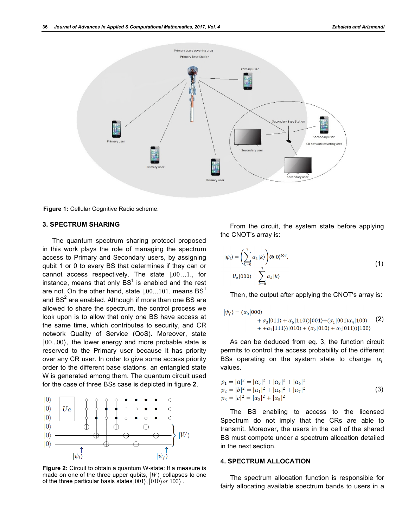

**Figure 1:** Cellular Cognitive Radio scheme.

## **3. SPECTRUM SHARING**

The quantum spectrum sharing protocol proposed in this work plays the role of managing the spectrum access to Primary and Secondary users, by assigning qubit 1 or 0 to every BS that determines if they can or cannot access respectively. The state |,00…1., for instance, means that only BS<sup>1</sup> is enabled and the rest are not. On the other hand, state  $1,00...101$ . means BS<sup>1</sup> and BS<sup>2</sup> are enabled. Although if more than one BS are allowed to share the spectrum, the control process we look upon is to allow that only one BS have access at the same time, which contributes to security, and CR network Quality of Service (QoS). Moreover, state  $|00...00\rangle$ , the lower energy and more probable state is reserved to the Primary user because it has priority over any CR user. In order to give some access priority order to the different base stations, an entangled state W is generated among them. The quantum circuit used for the case of three BSs case is depicted in figure **2**.



**Figure 2:** Circuit to obtain a quantum W-state: If a measure is made on one of the three upper qubits,  $|W\rangle$  collapses to one of the three particular basis states  $|001\rangle$ ,  $|010\rangle$ *or* $|100\rangle$ .

From the circuit, the system state before applying the CNOT's array is:

$$
|\psi_i\rangle = \left(\sum_{k=0}^{7} \alpha_k |k\rangle\right) \otimes |0\rangle^{\otimes 3},
$$
  

$$
U_a |000\rangle = \sum_{k=0}^{7} \alpha_k |k\rangle
$$
 (1)

Then, the output after applying the CNOT's array is:

$$
|\psi_f\rangle = (\alpha_0|000\rangle + \alpha_3|011\rangle + \alpha_6|110\rangle)|001\rangle + (\alpha_1|001\rangle\alpha_4|100\rangle
$$
 (2)  
+ + $\alpha_7|111\rangle)|010\rangle + (\alpha_7|010\rangle + \alpha_6|011\rangle)|100\rangle$ 

As can be deduced from eq. 3, the function circuit permits to control the access probability of the different BSs operating on the system state to change  $\alpha_i$ values.

$$
p_1 = |a|^2 = |\alpha_0|^2 + |\alpha_3|^2 + |\alpha_6|^2
$$
  
\n
$$
p_2 = |b|^2 = |\alpha_1|^2 + |\alpha_4|^2 + |\alpha_7|^2
$$
  
\n
$$
p_3 = |c|^2 = |\alpha_2|^2 + |\alpha_5|^2
$$
\n(3)

The BS enabling to access to the licensed Spectrum do not imply that the CRs are able to transmit. Moreover, the users in the cell of the shared BS must compete under a spectrum allocation detailed in the next section.

## **4. SPECTRUM ALLOCATION**

The spectrum allocation function is responsible for fairly allocating available spectrum bands to users in a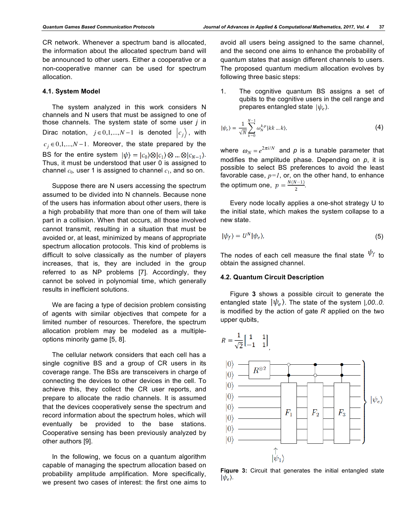CR network. Whenever a spectrum band is allocated, the information about the allocated spectrum band will be announced to other users. Either a cooperative or a non-cooperative manner can be used for spectrum allocation.

## **4.1. System Model**

The system analyzed in this work considers N channels and N users that must be assigned to one of those channels. The system state of some user *j* in Dirac notation,  $j \in 0,1,...,N-1$  is denoted  $c_j$ , with  $c_j \in 0,1,...,N-1$ . Moreover, the state prepared by the BS for the entire system  $|\psi\rangle = |c_0\rangle \otimes |c_1\rangle \otimes ... \otimes |c_{N-1}\rangle$ . Thus, it must be understood that user 0 is assigned to channel  $c_0$ , user 1 is assigned to channel  $c_1$ , and so on.

Suppose there are N users accessing the spectrum assumed to be divided into N channels. Because none of the users has information about other users, there is a high probability that more than one of them will take part in a collision. When that occurs, all those involved cannot transmit, resulting in a situation that must be avoided or, at least, minimized by means of appropriate spectrum allocation protocols. This kind of problems is difficult to solve classically as the number of players increases, that is, they are included in the group referred to as NP problems [7]. Accordingly, they cannot be solved in polynomial time, which generally results in inefficient solutions.

We are facing a type of decision problem consisting of agents with similar objectives that compete for a limited number of resources. Therefore, the spectrum allocation problem may be modeled as a multipleoptions minority game [5, 8].

The cellular network considers that each cell has a single cognitive BS and a group of CR users in its coverage range. The BSs are transceivers in charge of connecting the devices to other devices in the cell. To achieve this, they collect the CR user reports, and prepare to allocate the radio channels. It is assumed that the devices cooperatively sense the spectrum and record information about the spectrum holes, which will eventually be provided to the base stations. Cooperative sensing has been previously analyzed by other authors [9].

In the following, we focus on a quantum algorithm capable of managing the spectrum allocation based on probability amplitude amplification. More specifically, we present two cases of interest: the first one aims to avoid all users being assigned to the same channel, and the second one aims to enhance the probability of quantum states that assign different channels to users. The proposed quantum medium allocation evolves by following three basic steps:

1. The cognitive quantum BS assigns a set of qubits to the cognitive users in the cell range and prepares entangled state  $|\psi_e\rangle$ .

$$
|\psi_e\rangle = \frac{1}{\sqrt{N}} \sum_{k=0}^{N-1} \omega_N^{k,p} |kk \dots k\rangle, \tag{4}
$$

where  $\omega_N = e^{2\pi i/N}$  and  $p$  is a tunable parameter that modifies the amplitude phase. Depending on *p*, it is possible to select BS preferences to avoid the least favorable case,  $p=1$ , or, on the other hand, to enhance the optimum one,  $p = \frac{N(N-1)}{2}$ .

Every node locally applies a one-shot strategy U to the initial state, which makes the system collapse to a new state.

$$
|\psi_f\rangle = U^N |\psi_e\rangle, \tag{5}
$$

The nodes of each cell measure the final state  $\psi_f$  to obtain the assigned channel.

#### **4.2. Quantum Circuit Description**

Figure **3** shows a possible circuit to generate the entangled state  $|\psi_e\rangle$ . The state of the system  $|,00..0.$ is modified by the action of gate *R* applied on the two upper qubits,



**Figure 3:** Circuit that generates the initial entangled state  $|\psi_e\rangle$ .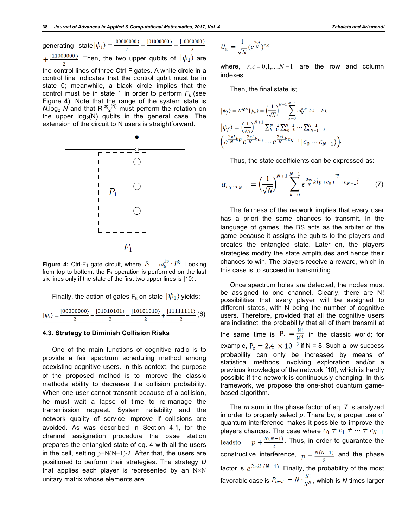generating state . Then, the two upper qubits of  $|\psi_1\rangle$  are the control lines of three Ctrl-F gates. A white circle in a control line indicates that the control qubit must be in state 0; meanwhile, a black circle implies that the control must be in state 1 in order to perform  $F_k$  (see Figure **4**). Note that the range of the system state is  $N \log_2 N$  and that  $R^{\log_2(N)}$  must perform the rotation on the upper log*2*(N) qubits in the general case. The extension of the circuit to N users is straightforward.



**Figure 4:** Ctrl-F<sub>1</sub> gate circuit, where  $P_1 = \omega_N^{1p} \cdot I^{\otimes}$ . Looking from top to bottom, the  $F_1$  operation is performed on the last six lines only if the state of the first two upper lines is |10〉.

Finally, the action of gates  $F_k$  on state  $|\psi_1\rangle$  yields:

$$
|\psi_e\rangle=\frac{|00000000\rangle}{2}-\frac{|01010101\rangle}{2}-\frac{|10101010\rangle}{2}+\frac{|11111111\rangle}{2}\ (6)
$$

#### **4.3. Strategy to Diminish Collision Risks**

One of the main functions of cognitive radio is to provide a fair spectrum scheduling method among coexisting cognitive users. In this context, the purpose of the proposed method is to improve the classic methods ability to decrease the collision probability. When one user cannot transmit because of a collision, he must wait a lapse of time to re-manage the transmission request. System reliability and the network quality of service improve if collisions are avoided. As was described in Section 4.1, for the channel assignation procedure the base station prepares the entangled state of eq. 4 with all the users in the cell, setting p=N(N−1)/2. After that, the users are positioned to perform their strategies. The strategy *U* that applies each player is represented by an  $N \times N$ unitary matrix whose elements are;

$$
U_{\omega} = \frac{1}{\sqrt{N}} (e^{\frac{2\pi i}{N}})^{r.c}
$$

where,  $r, c = 0, 1, \ldots, N-1$  are the row and column indexes.

Then, the final state is;

$$
\begin{aligned} &|\psi_f\rangle = U^{\otimes N} |\psi_e\rangle = \Big(\!\frac{1}{\sqrt{N}}\!\Big)^{N+1} \sum_{k=0}^{N-1} \omega_N^{k,p} |kk\ldots k\rangle,\\ &|\psi_f\rangle = \Big(\!\frac{1}{\sqrt{N}}\!\Big)^{N+1} \sum_{k=0}^{N-1} \sum_{c_0=0}^{N-1} \cdots \sum_{c_{N-1}=0}^{N-1} \\ &\hspace*{1.5cm}\Big(e^{\frac{2\pi i}{N}kp}\,e^{\frac{2\pi i}{N}kc_0}\,\cdots\,e^{\frac{2\pi i}{N}kc_{N-1}}\big|\mathcal{C}_0\,\cdots\,\mathcal{C}_{N-1}\Big)\Big). \end{aligned}
$$

Thus, the state coefficients can be expressed as:

$$
\alpha_{c_0 \cdots c_{N-1}} = \left(\frac{1}{\sqrt{N}}\right)^{N+1} \sum_{k=0}^{N-1} e^{\frac{2\pi i}{N} k \overline{(p+c_0+\cdots+c_{N-1})}} \qquad (7)
$$

The fairness of the network implies that every user has a priori the same chances to transmit. In the language of games, the BS acts as the arbiter of the game because it assigns the qubits to the players and creates the entangled state. Later on, the players strategies modify the state amplitudes and hence their chances to win. The players receive a reward, which in this case is to succeed in transmitting.

Once spectrum holes are detected, the nodes must be assigned to one channel. Clearly, there are N! possibilities that every player will be assigned to different states, with N being the number of cognitive users. Therefore, provided that all the cognitive users are indistinct, the probability that all of them transmit at the same time is  $P_c = \frac{N!}{N^N}$  in the classic world; for example,  $P_c = 2.4 \times 10^{-3}$  if N = 8. Such a low success probability can only be increased by means of statistical methods involving exploration and/or a previous knowledge of the network [10], which is hardly possible if the network is continuously changing. In this framework, we propose the one-shot quantum gamebased algorithm.

The *m* sum in the phase factor of eq. 7 is analyzed in order to properly select *p*. There by, a proper use of quantum interference makes it possible to improve the players chances. The case where  $c_0 \neq c_1 \neq \cdots \neq c_{N-1}$ leads to  $= p + \frac{N(N-1)}{2}$ . Thus, in order to guarantee the constructive interference,  $p = \frac{N(N-1)}{2}$  and the phase factor is  $e^{2\pi i k (N-1)}$ . Finally, the probability of the most favorable case is  $P_{best} = N \cdot \frac{N!}{N^N}$ , which is *N* times larger